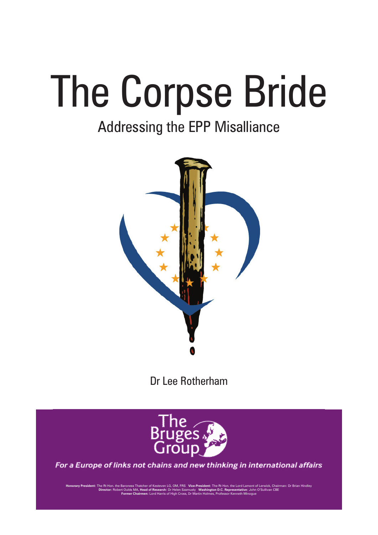# The Corpse Bride

## Addressing the EPP Misalliance



Dr Lee Rotherham



For a Europe of links not chains and new thinking in international affairs

**Honorary President:** The Rt Hon. the Baroness Thatcher of Kesteven LG, OM, FRS **Vice-President:** The Rt Hon. the Lord Lamont of Lerwick, Chairman: Dr Brian Hindley **Director:** Robert Oulds MA, **Head of Research:** Dr Helen Szamuely **Washington D.C. Representative:** John O'Sullivan CBE **Former Chairmen:** Lord Harris of High Cross, Dr Martin Holmes, Professor Kenneth Minogue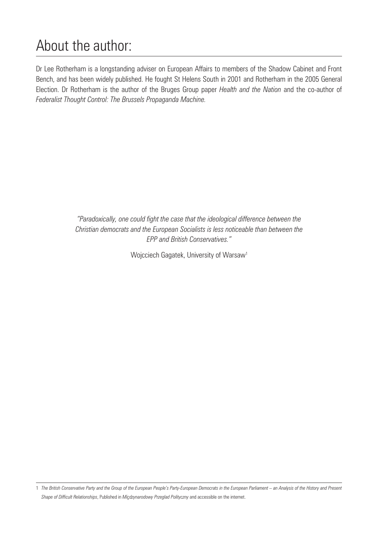## About the author:

Dr Lee Rotherham is a longstanding adviser on European Affairs to members of the Shadow Cabinet and Front Bench, and has been widely published. He fought St Helens South in 2001 and Rotherham in the 2005 General Election. Dr Rotherham is the author of the Bruges Group paper *Health and the Nation* and the co-author of *Federalist Thought Control: The Brussels Propaganda Machine.*

> *"Paradoxically, one could fight the case that the ideological difference between the Christian democrats and the European Socialists is less noticeable than between the EPP and British Conservatives."*

> > Wojcciech Gagatek, University of Warsaw1

<sup>1</sup> *The British Conservative Party and the Group of the European People's Party-European Democrats in the European Parliament – an Analysis of the History and Present Shape of Difficult Relationships*, Published in *Miçdzynarodowy Przeglad Polityczny* and accessible on the internet.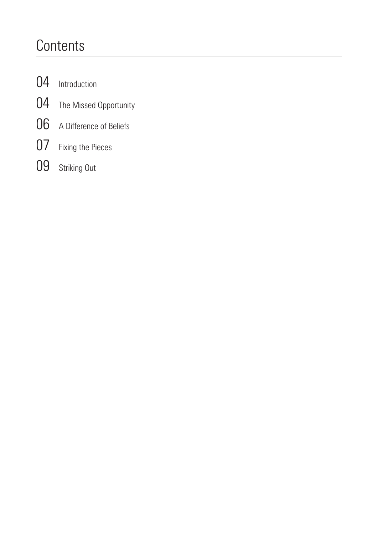## **Contents**

- [Introduction](#page-3-0)
- [The Missed Opportunity](#page-3-0)
- [A Difference of Beliefs](#page-5-0)
- [Fixing the Pieces](#page-6-0)
- [Striking Out](#page-8-0)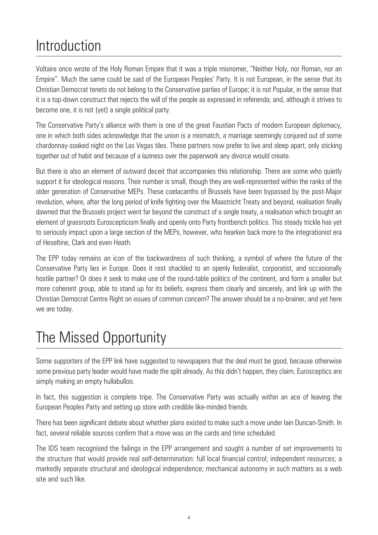## <span id="page-3-0"></span>Introduction

Voltaire once wrote of the Holy Roman Empire that it was a triple misnomer, "Neither Holy, nor Roman, nor an Empire". Much the same could be said of the European Peoples' Party. It is not European, in the sense that its Christian Democrat tenets do not belong to the Conservative parties of Europe; it is not Popular, in the sense that it is a top-down construct that rejects the will of the people as expressed in referenda; and, although it strives to become one, it is not (yet) a single political party.

The Conservative Party's alliance with them is one of the great Faustian Pacts of modern European diplomacy, one in which both sides acknowledge that the union is a mismatch, a marriage seemingly conjured out of some chardonnay-soaked night on the Las Vegas tiles. These partners now prefer to live and sleep apart, only sticking together out of habit and because of a laziness over the paperwork any divorce would create.

But there is also an element of outward deceit that accompanies this relationship. There are some who quietly support it for ideological reasons. Their number is small, though they are well-represented within the ranks of the older generation of Conservative MEPs. These coelacanths of Brussels have been bypassed by the post-Major revolution, where, after the long period of knife fighting over the Maastricht Treaty and beyond, realisation finally dawned that the Brussels project went far beyond the construct of a single treaty, a realisation which brought an element of grassroots Euroscepticism finally and openly onto Party frontbench politics. This steady trickle has yet to seriously impact upon a large section of the MEPs, however, who hearken back more to the integrationist era of Heseltine, Clark and even Heath.

The EPP today remains an icon of the backwardness of such thinking, a symbol of where the future of the Conservative Party lies in Europe. Does it rest shackled to an openly federalist, corporatist, and occasionally hostile partner? Or does it seek to make use of the round-table politics of the continent, and form a smaller but more coherent group, able to stand up for its beliefs, express them clearly and sincerely, and link up with the Christian Democrat Centre Right on issues of common concern? The answer should be a no-brainer, and yet here we are today.

#### The Missed Opportunity

Some supporters of the EPP link have suggested to newspapers that the deal must be good, because otherwise some previous party leader would have made the split already. As this didn't happen, they claim, Eurosceptics are simply making an empty hullabulloo.

In fact, this suggestion is complete tripe. The Conservative Party was actually within an ace of leaving the European Peoples Party and setting up store with credible like-minded friends.

There has been significant debate about whether plans existed to make such a move under Iain Duncan-Smith. In fact, several reliable sources confirm that a move was on the cards and time scheduled.

The IDS team recognised the failings in the EPP arrangement and sought a number of set improvements to the structure that would provide real self-determination: full local financial control; independent resources; a markedly separate structural and ideological independence; mechanical autonomy in such matters as a web site and such like.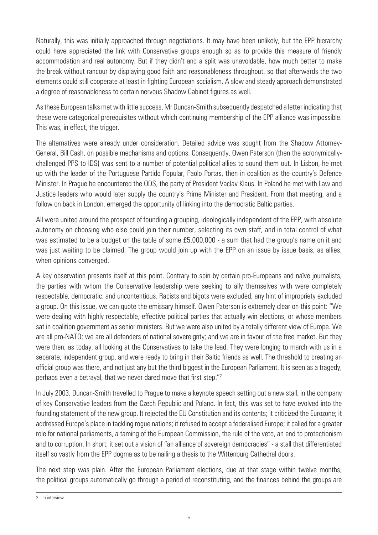Naturally, this was initially approached through negotiations. It may have been unlikely, but the EPP hierarchy could have appreciated the link with Conservative groups enough so as to provide this measure of friendly accommodation and real autonomy. But if they didn't and a split was unavoidable, how much better to make the break without rancour by displaying good faith and reasonableness throughout, so that afterwards the two elements could still cooperate at least in fighting European socialism. A slow and steady approach demonstrated a degree of reasonableness to certain nervous Shadow Cabinet figures as well.

As these European talks met with little success, Mr Duncan-Smith subsequently despatched a letter indicating that these were categorical prerequisites without which continuing membership of the EPP alliance was impossible. This was, in effect, the trigger.

The alternatives were already under consideration. Detailed advice was sought from the Shadow Attorney-General, Bill Cash, on possible mechanisms and options. Consequently, Owen Paterson (then the acronymicallychallenged PPS to IDS) was sent to a number of potential political allies to sound them out. In Lisbon, he met up with the leader of the Portuguese Partido Popular, Paolo Portas, then in coalition as the country's Defence Minister. In Prague he encountered the ODS, the party of President Vaclav Klaus. In Poland he met with Law and Justice leaders who would later supply the country's Prime Minister and President. From that meeting, and a follow on back in London, emerged the opportunity of linking into the democratic Baltic parties.

All were united around the prospect of founding a grouping, ideologically independent of the EPP, with absolute autonomy on choosing who else could join their number, selecting its own staff, and in total control of what was estimated to be a budget on the table of some £5,000,000 - a sum that had the group's name on it and was just waiting to be claimed. The group would join up with the EPP on an issue by issue basis, as allies, when opinions converged.

A key observation presents itself at this point. Contrary to spin by certain pro-Europeans and naïve journalists, the parties with whom the Conservative leadership were seeking to ally themselves with were completely respectable, democratic, and uncontentious. Racists and bigots were excluded; any hint of impropriety excluded a group. On this issue, we can quote the emissary himself. Owen Paterson is extremely clear on this point: "We were dealing with highly respectable, effective political parties that actually win elections, or whose members sat in coalition government as senior ministers. But we were also united by a totally different view of Europe. We are all pro-NATO; we are all defenders of national sovereignty; and we are in favour of the free market. But they were then, as today, all looking at the Conservatives to take the lead. They were longing to march with us in a separate, independent group, and were ready to bring in their Baltic friends as well. The threshold to creating an official group was there, and not just any but the third biggest in the European Parliament. It is seen as a tragedy, perhaps even a betrayal, that we never dared move that first step."2

In July 2003, Duncan-Smith travelled to Prague to make a keynote speech setting out a new stall, in the company of key Conservative leaders from the Czech Republic and Poland. In fact, this was set to have evolved into the founding statement of the new group. It rejected the EU Constitution and its contents; it criticized the Eurozone; it addressed Europe's place in tackling rogue nations; it refused to accept a federalised Europe; it called for a greater role for national parliaments, a taming of the European Commission, the rule of the veto, an end to protectionism and to corruption. In short, it set out a vision of "an alliance of sovereign democracies" - a stall that differentiated itself so vastly from the EPP dogma as to be nailing a thesis to the Wittenburg Cathedral doors.

The next step was plain. After the European Parliament elections, due at that stage within twelve months, the political groups automatically go through a period of reconstituting, and the finances behind the groups are

<sup>2</sup> In interview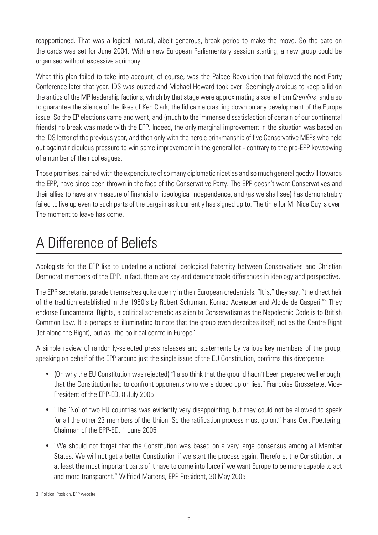<span id="page-5-0"></span>reapportioned. That was a logical, natural, albeit generous, break period to make the move. So the date on the cards was set for June 2004. With a new European Parliamentary session starting, a new group could be organised without excessive acrimony.

What this plan failed to take into account, of course, was the Palace Revolution that followed the next Party Conference later that year. IDS was ousted and Michael Howard took over. Seemingly anxious to keep a lid on the antics of the MP leadership factions, which by that stage were approximating a scene from *Gremlins*, and also to guarantee the silence of the likes of Ken Clark, the lid came crashing down on any development of the Europe issue. So the EP elections came and went, and (much to the immense dissatisfaction of certain of our continental friends) no break was made with the EPP. Indeed, the only marginal improvement in the situation was based on the IDS letter of the previous year, and then only with the heroic brinkmanship of five Conservative MEPs who held out against ridiculous pressure to win some improvement in the general lot - contrary to the pro-EPP kowtowing of a number of their colleagues.

Those promises, gained with the expenditure of so many diplomatic niceties and so much general goodwill towards the EPP, have since been thrown in the face of the Conservative Party. The EPP doesn't want Conservatives and their allies to have any measure of financial or ideological independence, and (as we shall see) has demonstrably failed to live up even to such parts of the bargain as it currently has signed up to. The time for Mr Nice Guy is over. The moment to leave has come.

## A Difference of Beliefs

Apologists for the EPP like to underline a notional ideological fraternity between Conservatives and Christian Democrat members of the EPP. In fact, there are key and demonstrable differences in ideology and perspective.

The EPP secretariat parade themselves quite openly in their European credentials. "It is," they say, "the direct heir of the tradition established in the 1950's by Robert Schuman, Konrad Adenauer and Alcide de Gasperi."<sup>3</sup> They endorse Fundamental Rights, a political schematic as alien to Conservatism as the Napoleonic Code is to British Common Law. It is perhaps as illuminating to note that the group even describes itself, not as the Centre Right (let alone the Right), but as "the political centre in Europe".

A simple review of randomly-selected press releases and statements by various key members of the group, speaking on behalf of the EPP around just the single issue of the EU Constitution, confirms this divergence.

- (On why the EU Constitution was rejected) "I also think that the ground hadn't been prepared well enough, that the Constitution had to confront opponents who were doped up on lies." Francoise Grossetete, Vice-President of the EPP-ED, 8 July 2005
- "The 'No' of two EU countries was evidently very disappointing, but they could not be allowed to speak for all the other 23 members of the Union. So the ratification process must go on." Hans-Gert Poettering, Chairman of the EPP-ED, 1 June 2005
- "We should not forget that the Constitution was based on a very large consensus among all Member States. We will not get a better Constitution if we start the process again. Therefore, the Constitution, or at least the most important parts of it have to come into force if we want Europe to be more capable to act and more transparent." Wilfried Martens, EPP President, 30 May 2005

<sup>3</sup> Political Position, EPP website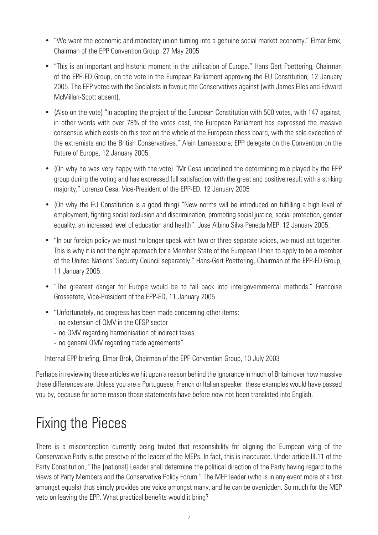- <span id="page-6-0"></span>• "We want the economic and monetary union turning into a genuine social market economy." Elmar Brok, Chairman of the EPP Convention Group, 27 May 2005
- "This is an important and historic moment in the unification of Europe." Hans-Gert Poettering, Chairman of the EPP-ED Group, on the vote in the European Parliament approving the EU Constitution, 12 January 2005. The EPP voted with the Socialists in favour; the Conservatives against (with James Elles and Edward McMillan-Scott absent).
- (Also on the vote) "In adopting the project of the European Constitution with 500 votes, with 147 against, in other words with over 78% of the votes cast, the European Parliament has expressed the massive consensus which exists on this text on the whole of the European chess board, with the sole exception of the extremists and the British Conservatives." Alain Lamassoure, EPP delegate on the Convention on the Future of Europe, 12 January 2005.
- (On why he was very happy with the vote) "Mr Cesa underlined the determining role played by the EPP group during the voting and has expressed full satisfaction with the great and positive result with a striking majority," Lorenzo Cesa, Vice-President of the EPP-ED, 12 January 2005
- (On why the EU Constitution is a good thing) "New norms will be introduced on fulfilling a high level of employment, fighting social exclusion and discrimination, promoting social justice, social protection, gender equality, an increased level of education and health". Jose Albino Silva Peneda MEP, 12 January 2005.
- "In our foreign policy we must no longer speak with two or three separate voices, we must act together. This is why it is not the right approach for a Member State of the European Union to apply to be a member of the United Nations' Security Council separately." Hans-Gert Poettering, Chairman of the EPP-ED Group, 11 January 2005.
- "The greatest danger for Europe would be to fall back into intergovernmental methods." Francoise Grossetete, Vice-President of the EPP-ED, 11 January 2005
- "Unfortunately, no progress has been made concerning other items:
	- no extension of QMV in the CFSP sector
	- no QMV regarding harmonisation of indirect taxes
	- no general QMV regarding trade agreements"

Internal EPP briefing, Elmar Brok, Chairman of the EPP Convention Group, 10 July 2003

Perhaps in reviewing these articles we hit upon a reason behind the ignorance in much of Britain over how massive these differences are. Unless you are a Portuguese, French or Italian speaker, these examples would have passed you by, because for some reason those statements have before now not been translated into English.

#### Fixing the Pieces

There is a misconception currently being touted that responsibility for aligning the European wing of the Conservative Party is the preserve of the leader of the MEPs. In fact, this is inaccurate. Under article III.11 of the Party Constitution, "The [national] Leader shall determine the political direction of the Party having regard to the views of Party Members and the Conservative Policy Forum." The MEP leader (who is in any event more of a first amongst equals) thus simply provides one voice amongst many, and he can be overridden. So much for the MEP veto on leaving the EPP. What practical benefits would it bring?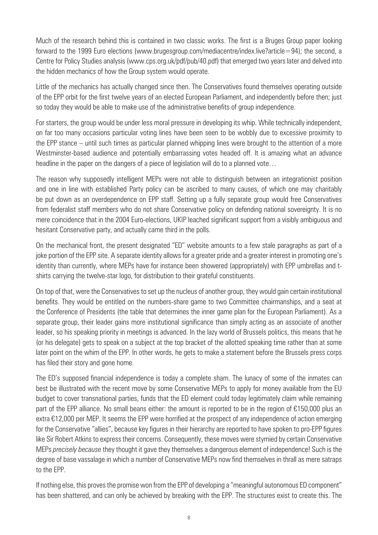Much of the research behind this is contained in two classic works. The first is a Bruges Group paper looking forward to the 1999 Euro elections (www.brugesgroup.com/mediacentre/index.live?article=94); the second, a Centre for Policy Studies analysis (www.cps.org.uk/pdf/pub/40.pdf) that emerged two years later and delved into the hidden mechanics of how the Group system would operate.

Little of the mechanics has actually changed since then. The Conservatives found themselves operating outside of the EPP orbit for the first twelve years of an elected European Parliament, and independently before then; just so today they would be able to make use of the administrative benefits of group independence.

For starters, the group would be under less moral pressure in developing its whip. While technically independent, on far too many occasions particular voting lines have been seen to be wobbly due to excessive proximity to the EPP stance – until such times as particular planned whipping lines were brought to the attention of a more Westminster-based audience and potentially embarrassing votes headed off. It is amazing what an advance headline in the paper on the dangers of a piece of legislation will do to a planned vote…

The reason why supposedly intelligent MEPs were not able to distinguish between an integrationist position and one in line with established Party policy can be ascribed to many causes, of which one may charitably be put down as an overdependence on EPP staff. Setting up a fully separate group would free Conservatives from federalist staff members who do not share Conservative policy on defending national sovereignty. It is no mere coincidence that in the 2004 Euro-elections, UKIP leached significant support from a visibly ambiguous and hesitant Conservative party, and actually came third in the polls.

On the mechanical front, the present designated "ED" website amounts to a few stale paragraphs as part of a joke portion of the EPP site. A separate identity allows for a greater pride and a greater interest in promoting one's identity than currently, where MEPs have for instance been showered (appropriately) with EPP umbrellas and tshirts carrying the twelve-star logo, for distribution to their grateful constituents.

On top of that, were the Conservatives to set up the nucleus of another group, they would gain certain institutional benefits. They would be entitled on the numbers-share game to two Committee chairmanships, and a seat at the Conference of Presidents (the table that determines the inner game plan for the European Parliament). As a separate group, their leader gains more institutional significance than simply acting as an associate of another leader, so his speaking priority in meetings is advanced. In the lazy world of Brussels politics, this means that he (or his delegate) gets to speak on a subject at the top bracket of the allotted speaking time rather than at some later point on the whim of the EPP. In other words, he gets to make a statement before the Brussels press corps has filed their story and gone home.

The ED's supposed financial independence is today a complete sham. The lunacy of some of the inmates can best be illustrated with the recent move by some Conservative MEPs to apply for money available from the EU budget to cover transnational parties, funds that the ED element could today legitimately claim while remaining part of the EPP alliance. No small beans either: the amount is reported to be in the region of €150,000 plus an extra €12,000 per MEP. It seems the EPP were horrified at the prospect of any independence of action emerging for the Conservative "allies", because key figures in their hierarchy are reported to have spoken to pro-EPP figures like Sir Robert Atkins to express their concerns. Consequently, these moves were stymied by certain Conservative MEPs *precisely because* they thought it gave they themselves a dangerous element of independence! Such is the degree of base vassalage in which a number of Conservative MEPs now find themselves in thrall as mere satraps to the EPP.

If nothing else, this proves the promise won from the EPP of developing a "meaningful autonomous ED component" has been shattered, and can only be achieved by breaking with the EPP. The structures exist to create this. The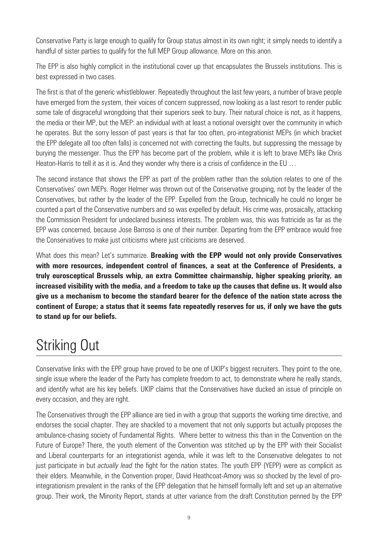<span id="page-8-0"></span>Conservative Party is large enough to qualify for Group status almost in its own right; it simply needs to identify a handful of sister parties to qualify for the full MEP Group allowance. More on this anon.

The EPP is also highly complicit in the institutional cover up that encapsulates the Brussels institutions. This is best expressed in two cases.

The first is that of the generic whistleblower. Repeatedly throughout the last few years, a number of brave people have emerged from the system, their voices of concern suppressed, now looking as a last resort to render public some tale of disgraceful wrongdoing that their superiors seek to bury. Their natural choice is not, as it happens, the media or their MP, but the MEP: an individual with at least a notional oversight over the community in which he operates. But the sorry lesson of past years is that far too often, pro-integrationist MEPs (in which bracket the EPP delegate all too often falls) is concerned not with correcting the faults, but suppressing the message by burying the messenger. Thus the EPP has become part of the problem, while it is left to brave MEPs like Chris Heaton-Harris to tell it as it is. And they wonder why there is a crisis of confidence in the EU …

The second instance that shows the EPP as part of the problem rather than the solution relates to one of the Conservatives' own MEPs. Roger Helmer was thrown out of the Conservative grouping, not by the leader of the Conservatives, but rather by the leader of the EPP. Expelled from the Group, technically he could no longer be counted a part of the Conservative numbers and so was expelled by default. His crime was, prosaically, attacking the Commission President for undeclared business interests. The problem was, this was fratricide as far as the EPP was concerned, because Jose Barroso is one of their number. Departing from the EPP embrace would free the Conservatives to make just criticisms where just criticisms are deserved.

What does this mean? Let's summarize. **Breaking with the EPP would not only provide Conservatives with more resources, independent control of finances, a seat at the Conference of Presidents, a truly eurosceptical Brussels whip, an extra Committee chairmanship, higher speaking priority, an increased visibility with the media, and a freedom to take up the causes that define us. It would also give us a mechanism to become the standard bearer for the defence of the nation state across the continent of Europe; a status that it seems fate repeatedly reserves for us, if only we have the guts to stand up for our beliefs.**

#### Striking Out

Conservative links with the EPP group have proved to be one of UKIP's biggest recruiters. They point to the one, single issue where the leader of the Party has complete freedom to act, to demonstrate where he really stands, and identify what are his key beliefs. UKIP claims that the Conservatives have ducked an issue of principle on every occasion, and they are right.

The Conservatives through the EPP alliance are tied in with a group that supports the working time directive, and endorses the social chapter. They are shackled to a movement that not only supports but actually proposes the ambulance-chasing society of Fundamental Rights. Where better to witness this than in the Convention on the Future of Europe? There, the youth element of the Convention was stitched up by the EPP with their Socialist and Liberal counterparts for an integrationist agenda, while it was left to the Conservative delegates to not just participate in but *actually lead* the fight for the nation states. The youth EPP (YEPP) were as complicit as their elders. Meanwhile, in the Convention proper, David Heathcoat-Amory was so shocked by the level of prointegrationism prevalent in the ranks of the EPP delegation that he himself formally left and set up an alternative group. Their work, the Minority Report, stands at utter variance from the draft Constitution penned by the EPP